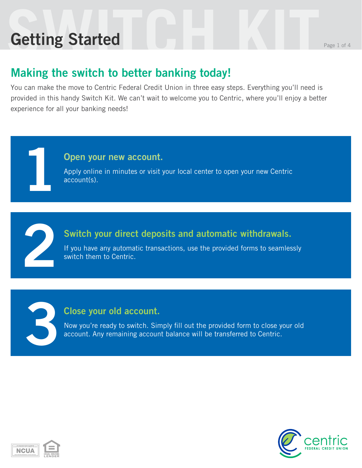# **Setting Started** Research And Page 1 of 4 **Getting Started**

**1**

**2**

**3**

### **Making the switch to better banking today!**

You can make the move to Centric Federal Credit Union in three easy steps. Everything you'll need is provided in this handy Switch Kit. We can't wait to welcome you to Centric, where you'll enjoy a better experience for all your banking needs!

#### **Open your new account.**

Apply online in minutes or visit your local center to open your new Centric account(s).

#### **Switch your direct deposits and automatic withdrawals.**

If you have any automatic transactions, use the provided forms to seamlessly switch them to Centric.

#### **Close your old account.**

Now you're ready to switch. Simply fill out the provided form to close your old account. Any remaining account balance will be transferred to Centric.



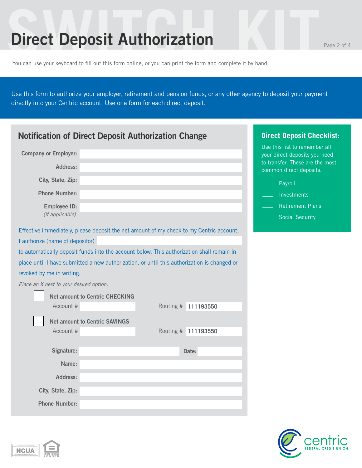### **Direct Deposit Authorization**

You can use your keyboard to fill out this form online, or you can print the form and complete it by hand.

Use this form to authorize your employer, retirement and pension funds, or any other agency to deposit your payment directly into your Centric account. Use one form for each direct deposit.

| <b>Notification of Direct Deposit Authorization Change</b> | <b>Direct Deposit Checklist:</b>                                                            |                                                                |
|------------------------------------------------------------|---------------------------------------------------------------------------------------------|----------------------------------------------------------------|
| <b>Company or Employer:</b>                                |                                                                                             | Use this list to remember all<br>your direct deposits you need |
| <b>Address:</b>                                            |                                                                                             | to transfer. These are the most<br>common direct deposits.     |
| City, State, Zip:                                          |                                                                                             | Payroll                                                        |
| <b>Phone Number:</b>                                       |                                                                                             | Investments                                                    |
| <b>Employee ID:</b>                                        |                                                                                             | <b>Retirement Plans</b>                                        |
| (if applicable)                                            |                                                                                             | <b>Social Security</b>                                         |
|                                                            | Effective immediately, please deposit the net amount of my check to my Centric account.     |                                                                |
| I authorize (name of depositor)                            |                                                                                             |                                                                |
|                                                            | to automatically deposit funds into the account below. This authorization shall remain in   |                                                                |
|                                                            | place until I have submitted a new authorization, or until this authorization is changed or |                                                                |
| revoked by me in writing.                                  |                                                                                             |                                                                |
| Place an X next to your desired option.                    |                                                                                             |                                                                |
| <b>Net amount to Centric CHECKING</b>                      |                                                                                             |                                                                |
| Account #                                                  | Routing # 111193550                                                                         |                                                                |
| <b>Net amount to Centric SAVINGS</b>                       |                                                                                             |                                                                |
| Account #                                                  | Routing # 111193550                                                                         |                                                                |
|                                                            |                                                                                             |                                                                |
| Signature:                                                 | Date:                                                                                       |                                                                |
| Name:                                                      |                                                                                             |                                                                |
| Address:                                                   |                                                                                             |                                                                |
| City, State, Zip:                                          |                                                                                             |                                                                |
| <b>Phone Number:</b>                                       |                                                                                             |                                                                |



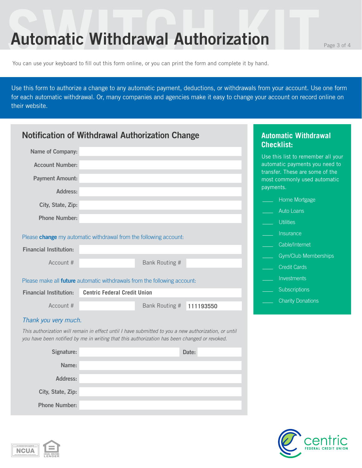### **Automatic Withdrawal Authorization**

You can use your keyboard to fill out this form online, or you can print the form and complete it by hand.

Use this form to authorize a change to any automatic payment, deductions, or withdrawals from your account. Use one form for each automatic withdrawal. Or, many companies and agencies make it easy to change your account on record online on their website.

|                               | <b>Notification of Withdrawal Authorization Change</b>                                                                                                                                               |           | <b>Automatic Withdrawal</b><br><b>Checklist:</b>                             |
|-------------------------------|------------------------------------------------------------------------------------------------------------------------------------------------------------------------------------------------------|-----------|------------------------------------------------------------------------------|
| Name of Company:              |                                                                                                                                                                                                      |           | Use this list to remember all your                                           |
| <b>Account Number:</b>        |                                                                                                                                                                                                      |           | automatic payments you need to                                               |
| <b>Payment Amount:</b>        |                                                                                                                                                                                                      |           | transfer. These are some of the<br>most commonly used automatic<br>payments. |
| <b>Address:</b>               |                                                                                                                                                                                                      |           | Home Mortgage                                                                |
| City, State, Zip:             |                                                                                                                                                                                                      |           | <b>Auto Loans</b>                                                            |
| <b>Phone Number:</b>          |                                                                                                                                                                                                      |           |                                                                              |
|                               |                                                                                                                                                                                                      |           | <b>Utilities</b>                                                             |
|                               | Please <b>change</b> my automatic withdrawal from the following account:                                                                                                                             |           | Insurance                                                                    |
| <b>Financial Institution:</b> |                                                                                                                                                                                                      |           | Cable/Internet                                                               |
| Account #                     | Bank Routing #                                                                                                                                                                                       |           | <b>Gym/Club Memberships</b>                                                  |
|                               |                                                                                                                                                                                                      |           | <b>Credit Cards</b>                                                          |
|                               | Please make all <b>future</b> automatic withdrawals from the following account:                                                                                                                      |           | Investments                                                                  |
| <b>Financial Institution:</b> | <b>Centric Federal Credit Union</b>                                                                                                                                                                  |           | Subscriptions                                                                |
| Account #                     | Bank Routing #                                                                                                                                                                                       | 111193550 | <b>Charity Donations</b>                                                     |
| Thank you very much.          |                                                                                                                                                                                                      |           |                                                                              |
|                               | This authorization will remain in effect until I have submitted to you a new authorization, or until<br>you have been notified by me in writing that this authorization has been changed or revoked. |           |                                                                              |
| Signature:                    |                                                                                                                                                                                                      | Date:     |                                                                              |
| Name:                         |                                                                                                                                                                                                      |           |                                                                              |
| Address:                      |                                                                                                                                                                                                      |           |                                                                              |
|                               |                                                                                                                                                                                                      |           |                                                                              |
| City, State, Zip:             |                                                                                                                                                                                                      |           |                                                                              |
| <b>Phone Number:</b>          |                                                                                                                                                                                                      |           |                                                                              |